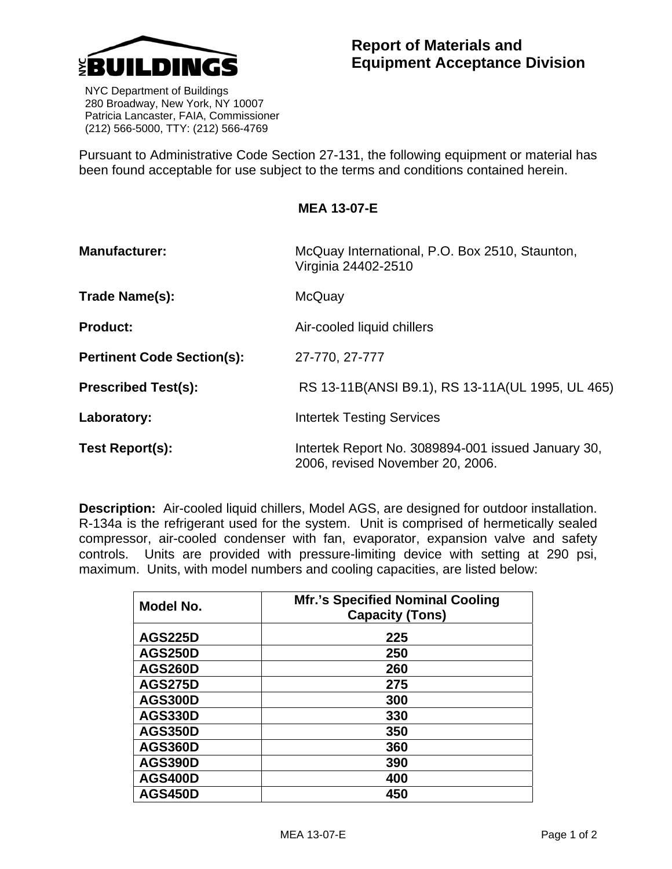

 NYC Department of Buildings 280 Broadway, New York, NY 10007 Patricia Lancaster, FAIA, Commissioner (212) 566-5000, TTY: (212) 566-4769

Pursuant to Administrative Code Section 27-131, the following equipment or material has been found acceptable for use subject to the terms and conditions contained herein.

**MEA 13-07-E** 

| <b>Manufacturer:</b>              | McQuay International, P.O. Box 2510, Staunton,<br>Virginia 24402-2510                  |
|-----------------------------------|----------------------------------------------------------------------------------------|
| Trade Name(s):                    | McQuay                                                                                 |
| <b>Product:</b>                   | Air-cooled liquid chillers                                                             |
| <b>Pertinent Code Section(s):</b> | 27-770, 27-777                                                                         |
| <b>Prescribed Test(s):</b>        | RS 13-11B(ANSI B9.1), RS 13-11A(UL 1995, UL 465)                                       |
| Laboratory:                       | <b>Intertek Testing Services</b>                                                       |
| <b>Test Report(s):</b>            | Intertek Report No. 3089894-001 issued January 30,<br>2006, revised November 20, 2006. |

**Description:** Air-cooled liquid chillers, Model AGS, are designed for outdoor installation. R-134a is the refrigerant used for the system. Unit is comprised of hermetically sealed compressor, air-cooled condenser with fan, evaporator, expansion valve and safety controls. Units are provided with pressure-limiting device with setting at 290 psi, maximum. Units, with model numbers and cooling capacities, are listed below:

| Model No.      | <b>Mfr.'s Specified Nominal Cooling</b><br><b>Capacity (Tons)</b> |
|----------------|-------------------------------------------------------------------|
| <b>AGS225D</b> | 225                                                               |
| <b>AGS250D</b> | 250                                                               |
| <b>AGS260D</b> | 260                                                               |
| <b>AGS275D</b> | 275                                                               |
| <b>AGS300D</b> | 300                                                               |
| <b>AGS330D</b> | 330                                                               |
| <b>AGS350D</b> | 350                                                               |
| <b>AGS360D</b> | 360                                                               |
| <b>AGS390D</b> | 390                                                               |
| <b>AGS400D</b> | 400                                                               |
| <b>AGS450D</b> | 450                                                               |